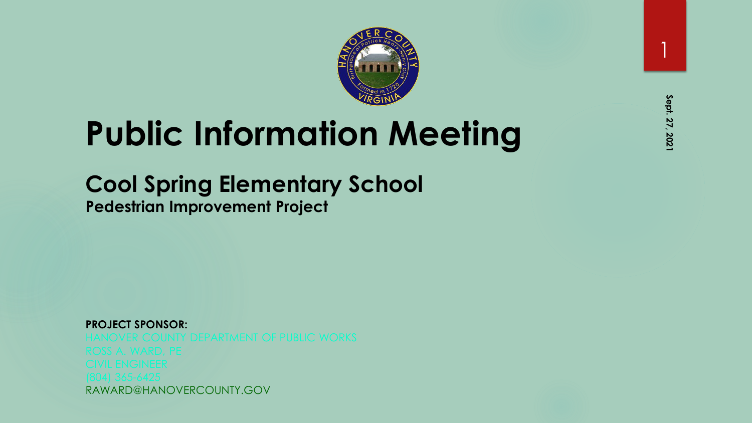

## **Public Information Meeting**

#### **Cool Spring Elementary School**

**Pedestrian Improvement Project**

**PROJECT SPONSOR:**  RAWARD@HANOVERCOUNTY.GOV 1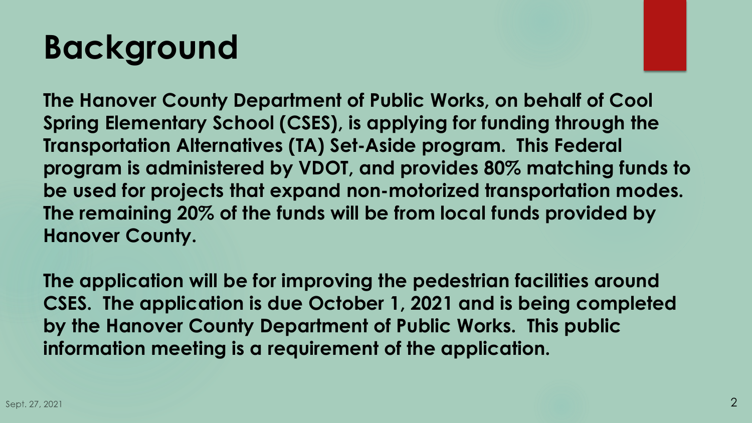## **Background**

**The Hanover County Department of Public Works, on behalf of Cool Spring Elementary School (CSES), is applying for funding through the Transportation Alternatives (TA) Set-Aside program. This Federal program is administered by VDOT, and provides 80% matching funds to be used for projects that expand non-motorized transportation modes. The remaining 20% of the funds will be from local funds provided by Hanover County.**

**The application will be for improving the pedestrian facilities around CSES. The application is due October 1, 2021 and is being completed by the Hanover County Department of Public Works. This public information meeting is a requirement of the application.**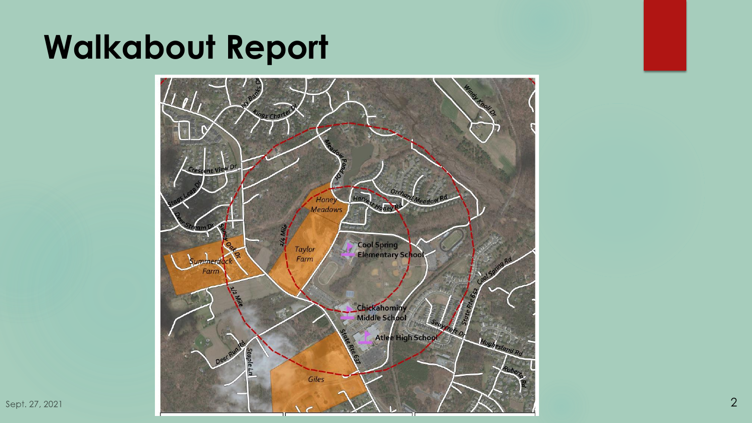#### **Walkabout Report**

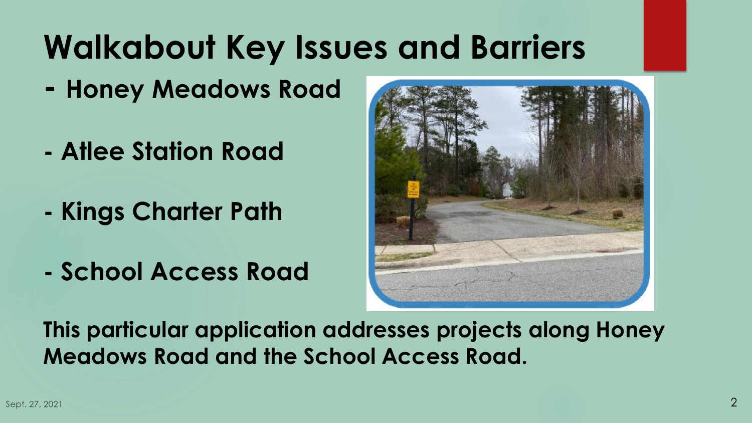### **Walkabout Key Issues and Barriers**

- **- Honey Meadows Road**
- **- Atlee Station Road**
- **- Kings Charter Path**
- **- School Access Road**



**This particular application addresses projects along Honey Meadows Road and the School Access Road.**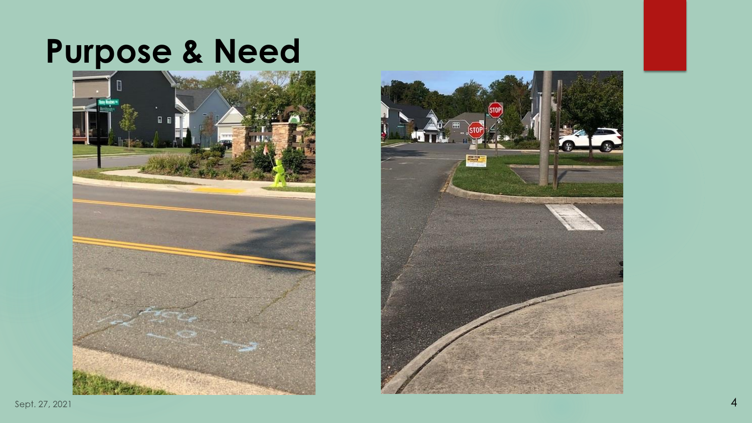### **Purpose & Need**



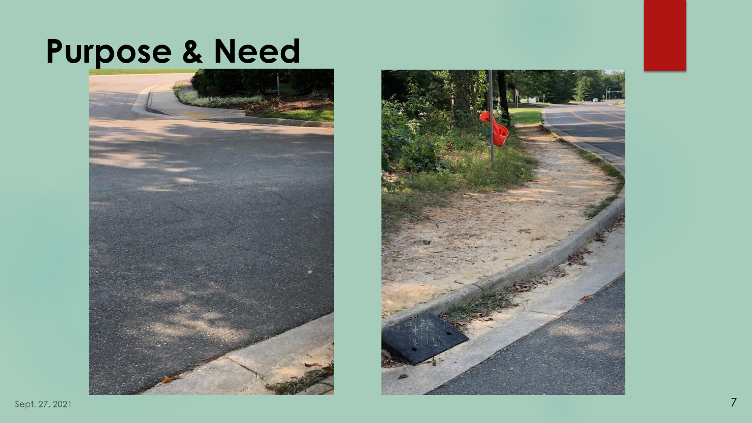#### **Purpose & Need**



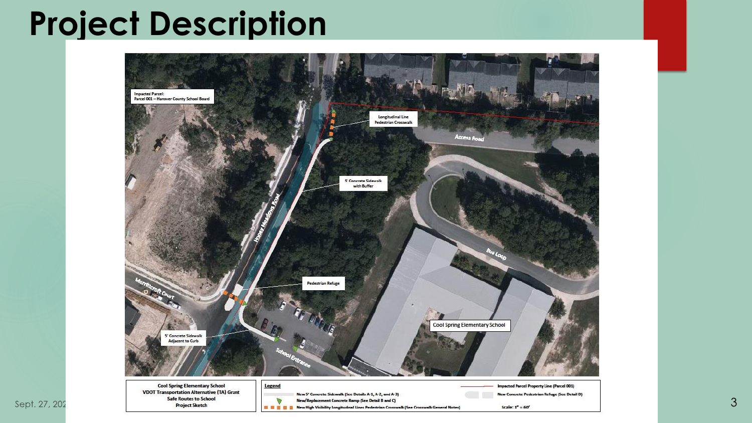#### **Project Description**

Sept. 27, 202

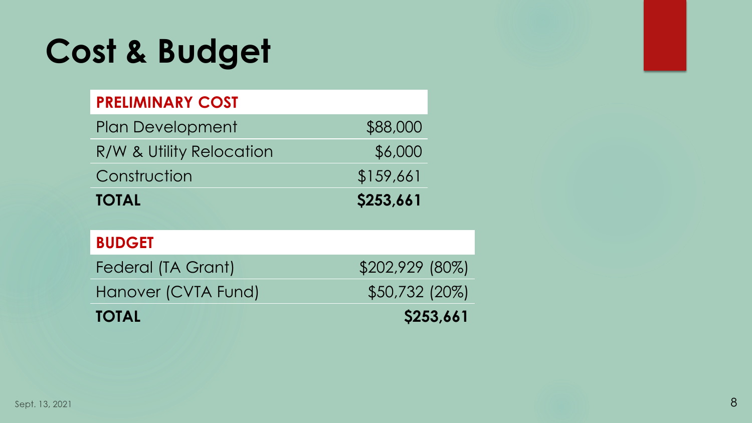## **Cost & Budget**

#### **PRELIMINARY COST**

| <b>Plan Development</b>   | \$88,000        |
|---------------------------|-----------------|
| R/W & Utility Relocation  | \$6,000         |
| Construction              | \$159,661       |
| <b>TOTAL</b>              | \$253,661       |
|                           |                 |
| <b>BUDGET</b>             |                 |
| <b>Federal (TA Grant)</b> | \$202,929 (80%) |
| Hanover (CVTA Fund)       | \$50,732 (20%)  |
| <b>TOTAL</b>              | \$253,661       |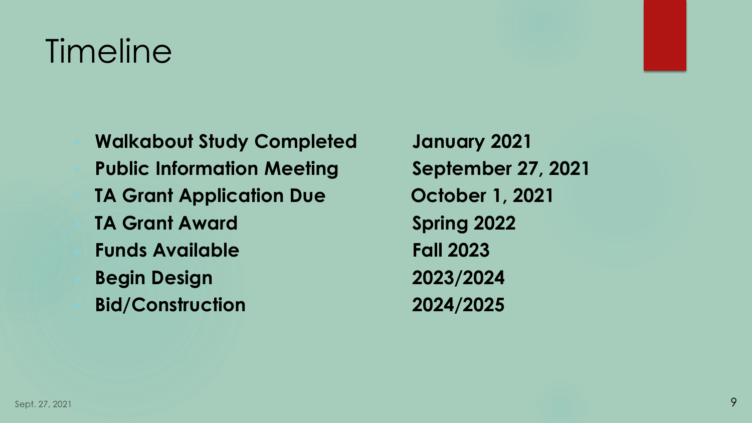## Timeline

▪ **Walkabout Study Completed January 2021 Public Information Meeting September 27, 2021 TA Grant Application Due October 1, 2021 TA Grant Award Spring 2022** ▪ **Funds Available Fall 2023** ▪ **Begin Design 2023/2024** ▪ **Bid/Construction 2024/2025**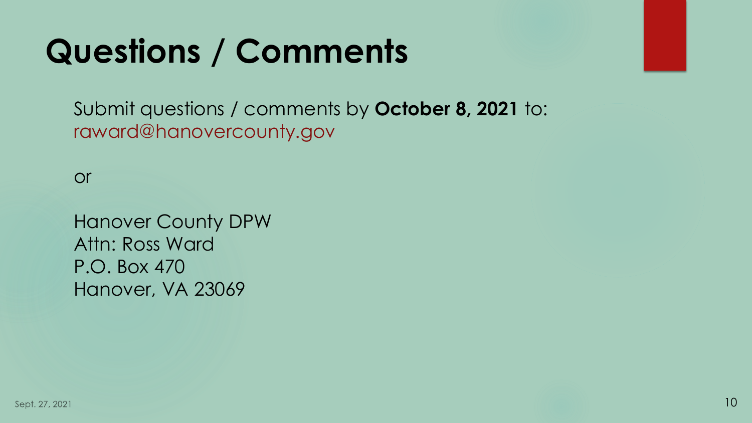## **Questions / Comments**

Submit questions / comments by **October 8, 2021** to: raward@hanovercounty.gov

or

Hanover County DPW Attn: Ross Ward P.O. Box 470 Hanover, VA 23069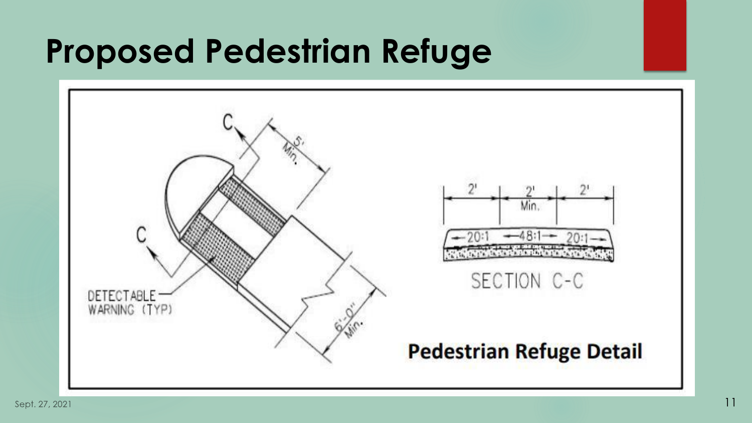#### **Proposed Pedestrian Refuge**